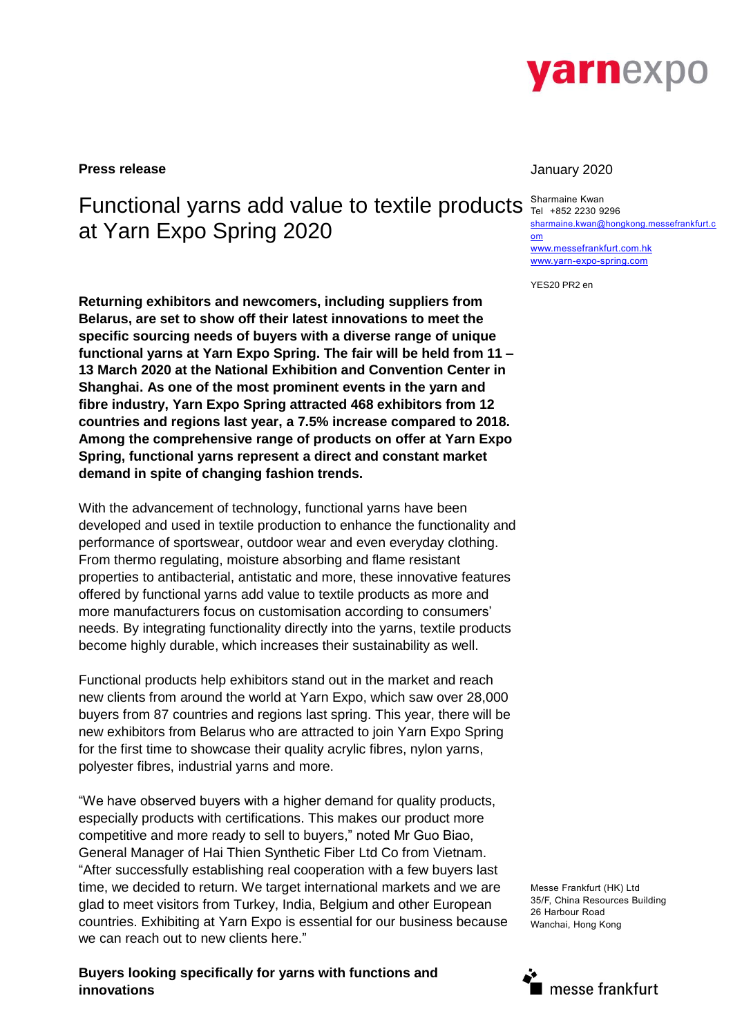

**Press release** January 2020

# Functional yarns add value to textile products sharmaine Kwan at Yarn Expo Spring 2020

**Returning exhibitors and newcomers, including suppliers from Belarus, are set to show off their latest innovations to meet the specific sourcing needs of buyers with a diverse range of unique functional yarns at Yarn Expo Spring. The fair will be held from 11 – 13 March 2020 at the National Exhibition and Convention Center in Shanghai. As one of the most prominent events in the yarn and fibre industry, Yarn Expo Spring attracted 468 exhibitors from 12 countries and regions last year, a 7.5% increase compared to 2018. Among the comprehensive range of products on offer at Yarn Expo Spring, functional yarns represent a direct and constant market demand in spite of changing fashion trends.**

With the advancement of technology, functional yarns have been developed and used in textile production to enhance the functionality and performance of sportswear, outdoor wear and even everyday clothing. From thermo regulating, moisture absorbing and flame resistant properties to antibacterial, antistatic and more, these innovative features offered by functional yarns add value to textile products as more and more manufacturers focus on customisation according to consumers' needs. By integrating functionality directly into the yarns, textile products become highly durable, which increases their sustainability as well.

Functional products help exhibitors stand out in the market and reach new clients from around the world at Yarn Expo, which saw over 28,000 buyers from 87 countries and regions last spring. This year, there will be new exhibitors from Belarus who are attracted to join Yarn Expo Spring for the first time to showcase their quality acrylic fibres, nylon yarns, polyester fibres, industrial yarns and more.

"We have observed buyers with a higher demand for quality products, especially products with certifications. This makes our product more competitive and more ready to sell to buyers," noted Mr Guo Biao, General Manager of Hai Thien Synthetic Fiber Ltd Co from Vietnam. "After successfully establishing real cooperation with a few buyers last time, we decided to return. We target international markets and we are glad to meet visitors from Turkey, India, Belgium and other European countries. Exhibiting at Yarn Expo is essential for our business because we can reach out to new clients here."

**Buyers looking specifically for yarns with functions and innovations**

Tel +852 2230 9296 [sharmaine.kwan@hongkong.messefrankfurt.c](mailto:sharmaine.kwan@hongkong.messefrankfurt.com) [om](mailto:sharmaine.kwan@hongkong.messefrankfurt.com) [www.messefrankfurt.com.hk](http://www.messefrankfurt.com.hk/) [www.yarn-expo-spring.com](http://www.yarn-expo-spring.com/)

YES20 PR2 en

Messe Frankfurt (HK) Ltd 35/F, China Resources Building 26 Harbour Road Wanchai, Hong Kong

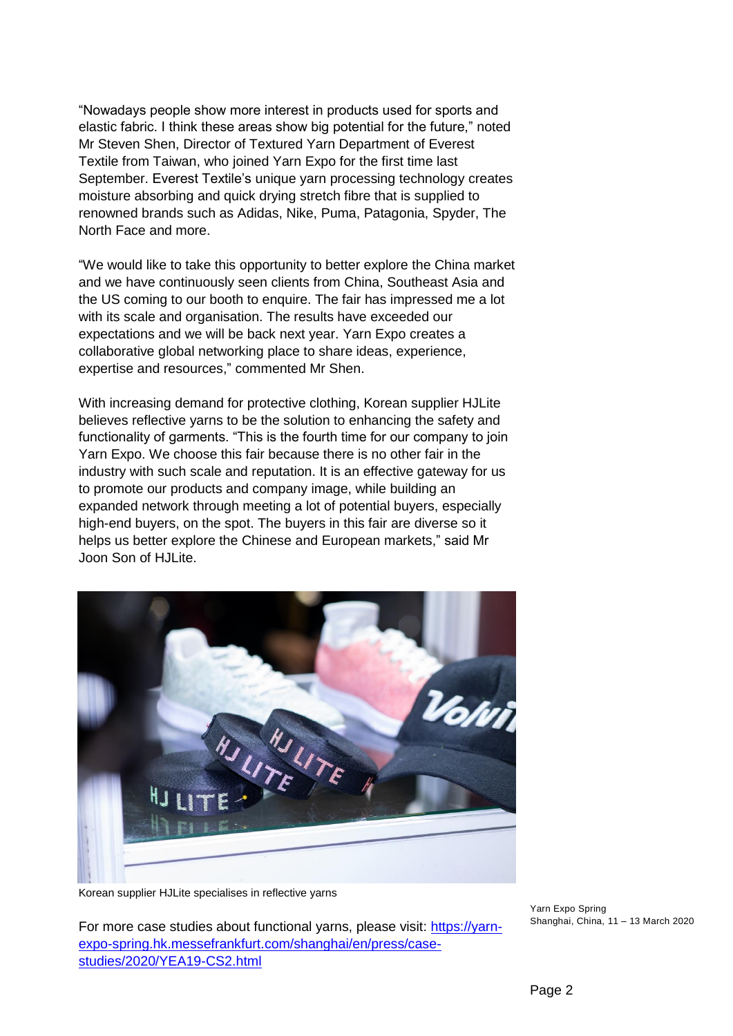"Nowadays people show more interest in products used for sports and elastic fabric. I think these areas show big potential for the future," noted Mr Steven Shen, Director of Textured Yarn Department of Everest Textile from Taiwan, who joined Yarn Expo for the first time last September. Everest Textile's unique yarn processing technology creates moisture absorbing and quick drying stretch fibre that is supplied to renowned brands such as Adidas, Nike, Puma, Patagonia, Spyder, The North Face and more.

"We would like to take this opportunity to better explore the China market and we have continuously seen clients from China, Southeast Asia and the US coming to our booth to enquire. The fair has impressed me a lot with its scale and organisation. The results have exceeded our expectations and we will be back next year. Yarn Expo creates a collaborative global networking place to share ideas, experience, expertise and resources," commented Mr Shen.

With increasing demand for protective clothing, Korean supplier HJLite believes reflective yarns to be the solution to enhancing the safety and functionality of garments. "This is the fourth time for our company to join Yarn Expo. We choose this fair because there is no other fair in the industry with such scale and reputation. It is an effective gateway for us to promote our products and company image, while building an expanded network through meeting a lot of potential buyers, especially high-end buyers, on the spot. The buyers in this fair are diverse so it helps us better explore the Chinese and European markets," said Mr Joon Son of HJLite.



Korean supplier HJLite specialises in reflective yarns

For more case studies about functional yarns, please visit: [https://yarn](https://yarn-expo-spring.hk.messefrankfurt.com/shanghai/en/press/case-studies/2020/YEA19-CS2.html)[expo-spring.hk.messefrankfurt.com/shanghai/en/press/case](https://yarn-expo-spring.hk.messefrankfurt.com/shanghai/en/press/case-studies/2020/YEA19-CS2.html)[studies/2020/YEA19-CS2.html](https://yarn-expo-spring.hk.messefrankfurt.com/shanghai/en/press/case-studies/2020/YEA19-CS2.html)

Yarn Expo Spring Shanghai, China, 11 – 13 March 2020